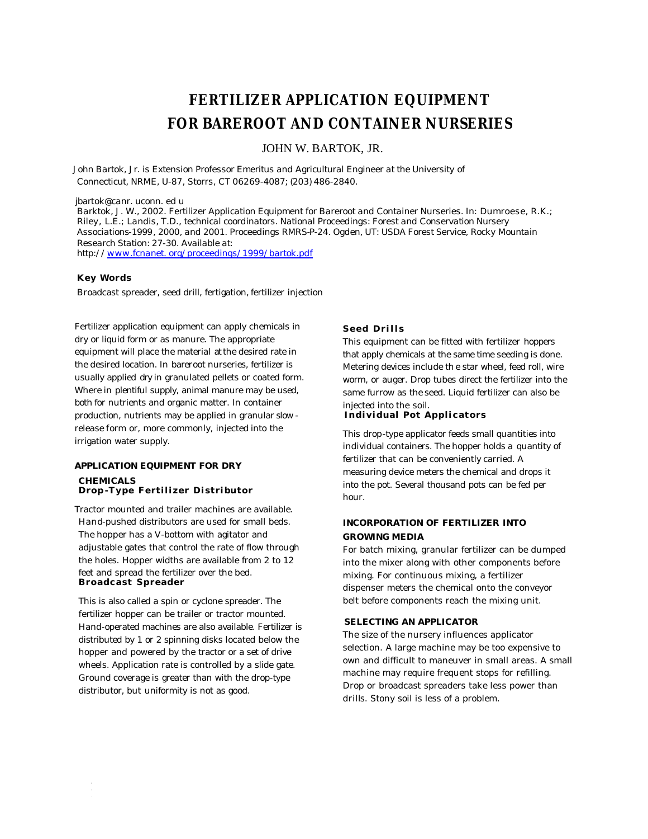# **FERTILIZER APPLICATION EQUIPMENT FOR BAREROOT AND CONTAINER NURSERIES**

JOHN W. BARTOK, JR.

John Bartok, Jr. is Extension Professor Emeritus and Agricultural Engineer at the University of *Connecticut, NRME, U-87, Storrs, CT 06269-4087; (203) 486-2840.*

*jbartok@canr. uconn. ed u*

*Barktok, J. W., 2002. Fertilizer Application Equipment for Bareroot and Container Nurseries. In: Dumroese, R.K.; Riley, L.E.; Landis, T.D., technical coordinators. National Proceedings: Forest and Conservation Nursery Associations-1999, 2000, and 2001. Proceedings RMRS-P-24. Ogden, UT: USDA Forest Service, Rocky Mountain Research Station: 27-30. Available at: http://www.fcnanet. org/proceedings/1999/bartok.pdf*

#### **Key Words**

Broadcast spreader, seed drill, fertigation, fertilizer injection

Fertilizer application equipment can apply chemicals in dry or liquid form or as manure. The appropriate equipment will place the material at the desired rate in the desired location. In bareroot nurseries, fertilizer is usually applied dry in granulated pellets or coated form. Where in plentiful supply, animal manure may be used, both for nutrients and organic matter. In container production, nutrients may be applied in granular slow release form or, more commonly, injected into the irrigation water supply.

#### **APPLICATION EQUIPMENT FOR DRY CHEMICALS Drop -Type Fertilizer Distributor**

Tractor mounted and trailer machines are available. Hand-pushed distributors are used for small beds. The hopper has a V-bottom with agitator and adjustable gates that control the rate of flow through the holes. Hopper widths are available from 2 to 12 feet and spread the fertilizer over the bed. **Broadcast Spreader**

This is also called a spin or cyclone spreader. The fertilizer hopper can be trailer or tractor mounted. Hand-operated machines are also available. Fertilizer is distributed by 1 or 2 spinning disks located below the hopper and powered by the tractor or a set of drive wheels. Application rate is controlled by a slide gate. Ground coverage is greater than with the drop-type distributor, but uniformity is not as good.

#### **Seed Drills**

This equipment can be fitted with fertilizer hoppers that apply chemicals at the same time seeding is done. Metering devices include the star wheel, feed roll, wire worm, or auger. Drop tubes direct the fertilizer into the same furrow as the seed. Liquid fertilizer can also be injected into the soil.

#### **Individual Pot Applicators**

This drop-type applicator feeds small quantities into individual containers. The hopper holds a quantity of fertilizer that can be conveniently carried. A measuring device meters the chemical and drops it into the pot. Several thousand pots can be fed per hour.

### **INCORPORATION OF FERTILIZER INTO GROWING MEDIA**

For batch mixing, granular fertilizer can be dumped into the mixer along with other components before mixing. For continuous mixing, a fertilizer dispenser meters the chemical onto the conveyor belt before components reach the mixing unit.

#### **SELECTING AN APPLICATOR**

The size of the nursery influences applicator selection. A large machine may be too expensive to own and difficult to maneuver in small areas. A small machine may require frequent stops for refilling. Drop or broadcast spreaders take less power than drills. Stony soil is less of a problem.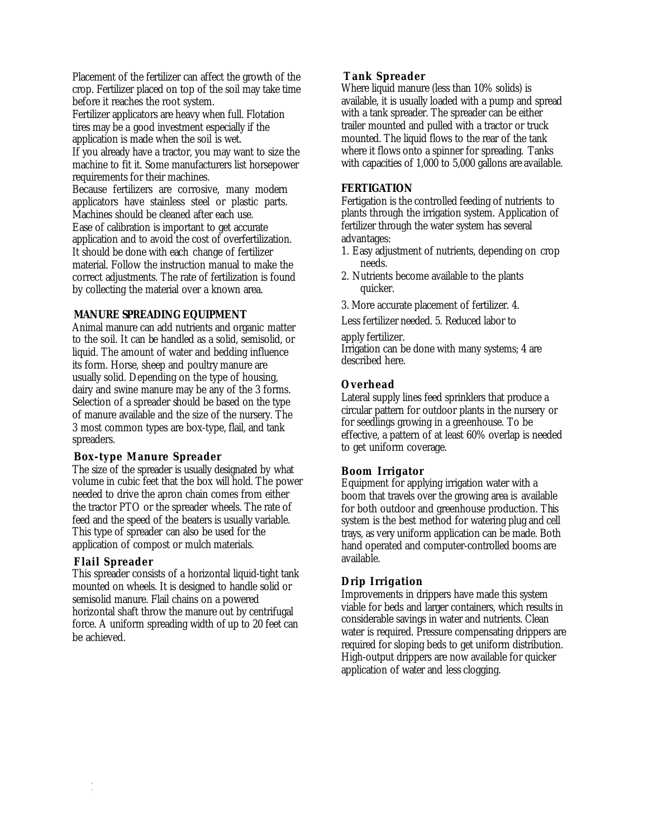Placement of the fertilizer can affect the growth of the crop. Fertilizer placed on top of the soil may take time before it reaches the root system.

Fertilizer applicators are heavy when full. Flotation tires may be a good investment especially if the application is made when the soil is wet. If you already have a tractor, you may want to size the

machine to fit it. Some manufacturers list horsepower requirements for their machines.

Because fertilizers are corrosive, many modern applicators have stainless steel or plastic parts. Machines should be cleaned after each use. Ease of calibration is important to get accurate application and to avoid the cost of overfertilization. It should be done with each change of fertilizer material. Follow the instruction manual to make the correct adjustments. The rate of fertilization is found by collecting the material over a known area.

# **MANURE SPREADING EQUIPMENT**

Animal manure can add nutrients and organic matter to the soil. It can be handled as a solid, semisolid, or liquid. The amount of water and bedding influence its form. Horse, sheep and poultry manure are usually solid. Depending on the type of housing, dairy and swine manure may be any of the 3 forms. Selection of a spreader should be based on the type of manure available and the size of the nursery. The 3 most common types are box-type, flail, and tank spreaders.

### **Box-type Manure Spreader**

The size of the spreader is usually designated by what volume in cubic feet that the box will hold. The power needed to drive the apron chain comes from either the tractor PTO or the spreader wheels. The rate of feed and the speed of the beaters is usually variable. This type of spreader can also be used for the application of compost or mulch materials.

# **Flail Spreader**

This spreader consists of a horizontal liquid-tight tank mounted on wheels. It is designed to handle solid or semisolid manure. Flail chains on a powered horizontal shaft throw the manure out by centrifugal force. A uniform spreading width of up to 20 feet can be achieved.

# **Tank Spreader**

Where liquid manure (less than 10% solids) is available, it is usually loaded with a pump and spread with a tank spreader. The spreader can be either trailer mounted and pulled with a tractor or truck mounted. The liquid flows to the rear of the tank where it flows onto a spinner for spreading. Tanks with capacities of 1,000 to 5,000 gallons are available.

# **FERTIGATION**

Fertigation is the controlled feeding of nutrients to plants through the irrigation system. Application of fertilizer through the water system has several advantages:

- 1. Easy adjustment of nutrients, depending on crop needs.
- 2. Nutrients become available to the plants quicker.
- 3. More accurate placement of fertilizer. 4.

Less fertilizer needed. 5. Reduced labor to

apply fertilizer.

Irrigation can be done with many systems; 4 are described here.

# **Overhead**

Lateral supply lines feed sprinklers that produce a circular pattern for outdoor plants in the nursery or for seedlings growing in a greenhouse. To be effective, a pattern of at least 60% overlap is needed to get uniform coverage.

# **Boom Irrigator**

Equipment for applying irrigation water with a boom that travels over the growing area is available for both outdoor and greenhouse production. This system is the best method for watering plug and cell trays, as very uniform application can be made. Both hand operated and computer-controlled booms are available.

# **Drip Irrigation**

Improvements in drippers have made this system viable for beds and larger containers, which results in considerable savings in water and nutrients. Clean water is required. Pressure compensating drippers are required for sloping beds to get uniform distribution. High-output drippers are now available for quicker application of water and less clogging.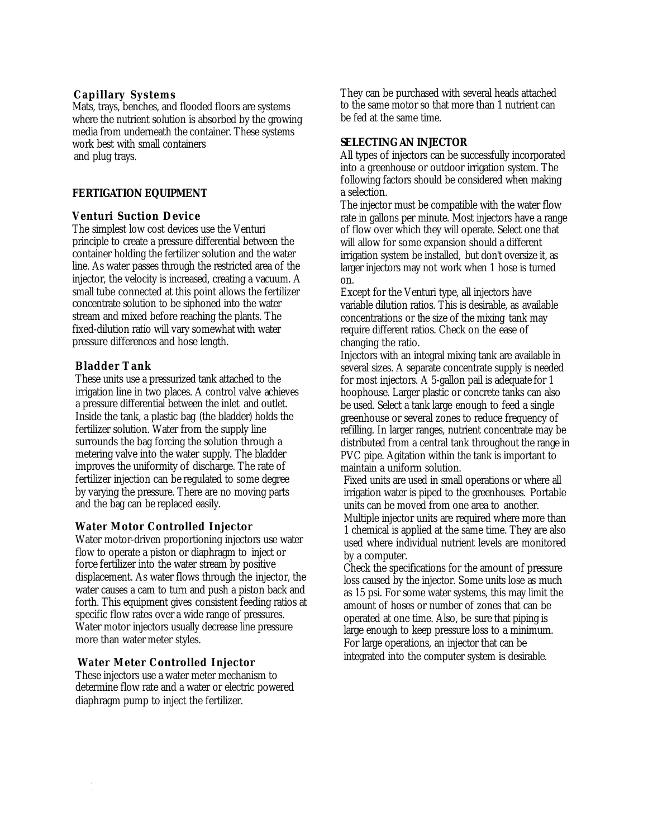### **Capillary Systems**

Mats, trays, benches, and flooded floors are systems where the nutrient solution is absorbed by the growing media from underneath the container. These systems work best with small containers and plug trays.

### **FERTIGATION EQUIPMENT**

# **Venturi Suction Device**

The simplest low cost devices use the Venturi principle to create a pressure differential between the container holding the fertilizer solution and the water line. As water passes through the restricted area of the injector, the velocity is increased, creating a vacuum. A small tube connected at this point allows the fertilizer concentrate solution to be siphoned into the water stream and mixed before reaching the plants. The fixed-dilution ratio will vary somewhat with water pressure differences and hose length.

# **Bladder Tank**

These units use a pressurized tank attached to the irrigation line in two places. A control valve achieves a pressure differential between the inlet and outlet. Inside the tank, a plastic bag (the bladder) holds the fertilizer solution. Water from the supply line surrounds the bag forcing the solution through a metering valve into the water supply. The bladder improves the uniformity of discharge. The rate of fertilizer injection can be regulated to some degree by varying the pressure. There are no moving parts and the bag can be replaced easily.

### **Water Motor Controlled Injector**

Water motor-driven proportioning injectors use water flow to operate a piston or diaphragm to inject or force fertilizer into the water stream by positive displacement. As water flows through the injector, the water causes a cam to turn and push a piston back and forth. This equipment gives consistent feeding ratios at specific flow rates over a wide range of pressures. Water motor injectors usually decrease line pressure more than water meter styles.

### **Water Meter Controlled Injector**

These injectors use a water meter mechanism to determine flow rate and a water or electric powered diaphragm pump to inject the fertilizer.

They can be purchased with several heads attached to the same motor so that more than 1 nutrient can be fed at the same time.

### **SELECTING AN INJECTOR**

All types of injectors can be successfully incorporated into a greenhouse or outdoor irrigation system. The following factors should be considered when making a selection.

The injector must be compatible with the water flow rate in gallons per minute. Most injectors have a range of flow over which they will operate. Select one that will allow for some expansion should a different irrigation system be installed, but don't oversize it, as larger injectors may not work when 1 hose is turned on.

Except for the Venturi type, all injectors have variable dilution ratios. This is desirable, as available concentrations or the size of the mixing tank may require different ratios. Check on the ease of changing the ratio.

Injectors with an integral mixing tank are available in several sizes. A separate concentrate supply is needed for most injectors. A 5-gallon pail is adequate for 1 hoophouse. Larger plastic or concrete tanks can also be used. Select a tank large enough to feed a single greenhouse or several zones to reduce frequency of refilling. In larger ranges, nutrient concentrate may be distributed from a central tank throughout the range in PVC pipe. Agitation within the tank is important to maintain a uniform solution.

Fixed units are used in small operations or where all irrigation water is piped to the greenhouses. Portable units can be moved from one area to another. Multiple injector units are required where more than 1 chemical is applied at the same time. They are also used where individual nutrient levels are monitored by a computer.

Check the specifications for the amount of pressure loss caused by the injector. Some units lose as much as 15 psi. For some water systems, this may limit the amount of hoses or number of zones that can be operated at one time. Also, be sure that piping is large enough to keep pressure loss to a minimum. For large operations, an injector that can be integrated into the computer system is desirable.